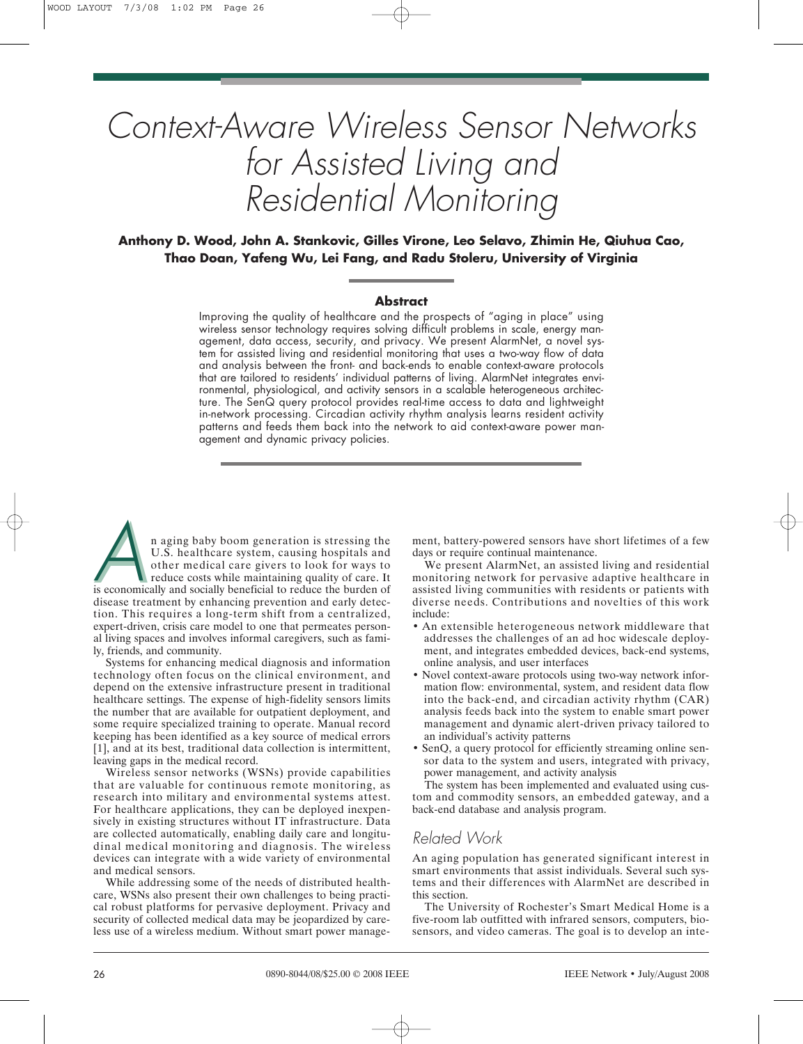# Context-Aware Wireless Sensor Networks for Assisted Living and Residential Monitoring

#### **Anthony D. Wood, John A. Stankovic, Gilles Virone, Leo Selavo, Zhimin He, Qiuhua Cao, Thao Doan, Yafeng Wu, Lei Fang, and Radu Stoleru, University of Virginia**

#### **Abstract**

Improving the quality of healthcare and the prospects of "aging in place" using wireless sensor technology requires solving difficult problems in scale, energy management, data access, security, and privacy. We present AlarmNet, a novel system for assisted living and residential monitoring that uses a two-way flow of data and analysis between the front- and back-ends to enable context-aware protocols that are tailored to residents' individual patterns of living. AlarmNet integrates environmental, physiological, and activity sensors in a scalable heterogeneous architecture. The SenQ query protocol provides real-time access to data and lightweight in-network processing. Circadian activity rhythm analysis learns resident activity patterns and feeds them back into the network to aid context-aware power management and dynamic privacy policies.

n aging baby boom generation is stressing the U.S. healthcare system, causing hospitals and other medical care givers to look for ways to reduce costs while maintaining quality of care. It n aging baby boom generation is stressing the<br>U.S. healthcare system, causing hospitals and<br>other medical care givers to look for ways to<br>reduce costs while maintaining quality of care. It<br>is economically and socially bene disease treatment by enhancing prevention and early detection. This requires a long-term shift from a centralized, expert-driven, crisis care model to one that permeates personal living spaces and involves informal caregivers, such as family, friends, and community.

Systems for enhancing medical diagnosis and information technology often focus on the clinical environment, and depend on the extensive infrastructure present in traditional healthcare settings. The expense of high-fidelity sensors limits the number that are available for outpatient deployment, and some require specialized training to operate. Manual record keeping has been identified as a key source of medical errors [1], and at its best, traditional data collection is intermittent, leaving gaps in the medical record.

Wireless sensor networks (WSNs) provide capabilities that are valuable for continuous remote monitoring, as research into military and environmental systems attest. For healthcare applications, they can be deployed inexpensively in existing structures without IT infrastructure. Data are collected automatically, enabling daily care and longitudinal medical monitoring and diagnosis. The wireless devices can integrate with a wide variety of environmental and medical sensors.

While addressing some of the needs of distributed healthcare, WSNs also present their own challenges to being practical robust platforms for pervasive deployment. Privacy and security of collected medical data may be jeopardized by careless use of a wireless medium. Without smart power management, battery-powered sensors have short lifetimes of a few days or require continual maintenance.

We present AlarmNet, an assisted living and residential monitoring network for pervasive adaptive healthcare in assisted living communities with residents or patients with diverse needs. Contributions and novelties of this work include:

- An extensible heterogeneous network middleware that addresses the challenges of an ad hoc widescale deployment, and integrates embedded devices, back-end systems, online analysis, and user interfaces
- Novel context-aware protocols using two-way network information flow: environmental, system, and resident data flow into the back-end, and circadian activity rhythm (CAR) analysis feeds back into the system to enable smart power management and dynamic alert-driven privacy tailored to an individual's activity patterns
- SenQ, a query protocol for efficiently streaming online sensor data to the system and users, integrated with privacy, power management, and activity analysis

The system has been implemented and evaluated using custom and commodity sensors, an embedded gateway, and a back-end database and analysis program.

## Related Work

An aging population has generated significant interest in smart environments that assist individuals. Several such systems and their differences with AlarmNet are described in this section.

The University of Rochester's Smart Medical Home is a five-room lab outfitted with infrared sensors, computers, biosensors, and video cameras. The goal is to develop an inte-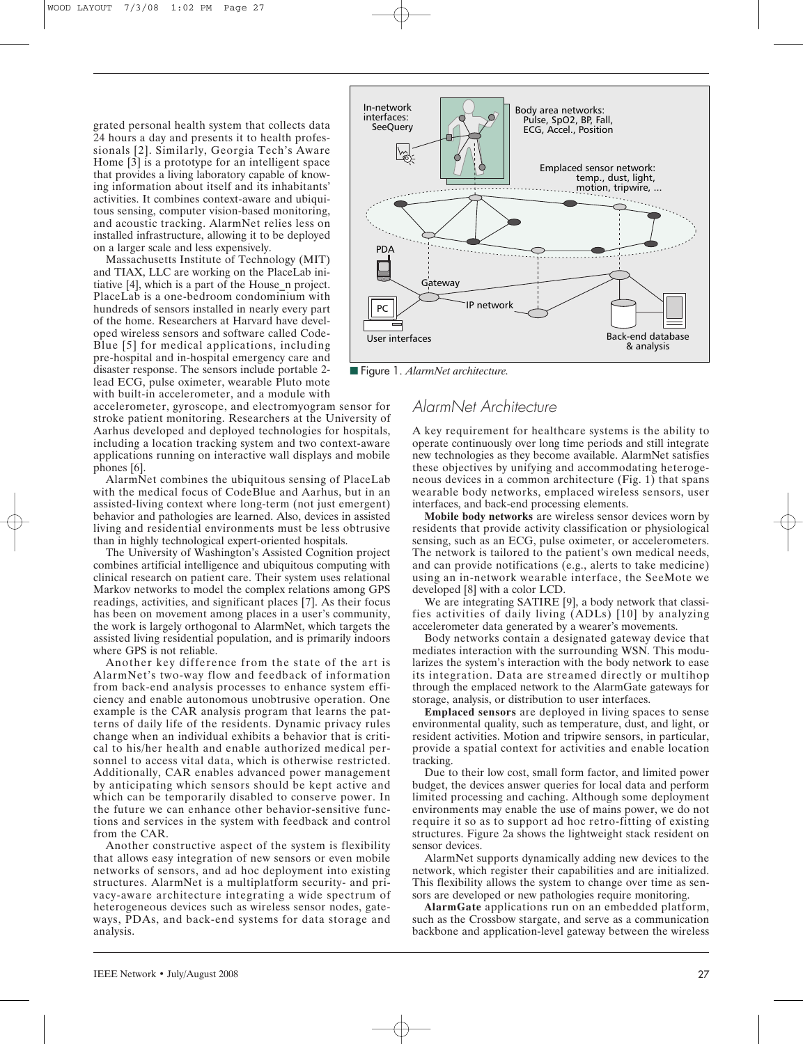grated personal health system that collects data 24 hours a day and presents it to health professionals [2]. Similarly, Georgia Tech's Aware Home [3] is a prototype for an intelligent space that provides a living laboratory capable of knowing information about itself and its inhabitants' activities. It combines context-aware and ubiquitous sensing, computer vision-based monitoring, and acoustic tracking. AlarmNet relies less on installed infrastructure, allowing it to be deployed on a larger scale and less expensively.

Massachusetts Institute of Technology (MIT) and TIAX, LLC are working on the PlaceLab initiative [4], which is a part of the House\_n project. PlaceLab is a one-bedroom condominium with hundreds of sensors installed in nearly every part of the home. Researchers at Harvard have developed wireless sensors and software called Code-Blue [5] for medical applications, including pre-hospital and in-hospital emergency care and disaster response. The sensors include portable 2 lead ECG, pulse oximeter, wearable Pluto mote with built-in accelerometer, and a module with

accelerometer, gyroscope, and electromyogram sensor for stroke patient monitoring. Researchers at the University of Aarhus developed and deployed technologies for hospitals, including a location tracking system and two context-aware applications running on interactive wall displays and mobile phones [6].

AlarmNet combines the ubiquitous sensing of PlaceLab with the medical focus of CodeBlue and Aarhus, but in an assisted-living context where long-term (not just emergent) behavior and pathologies are learned. Also, devices in assisted living and residential environments must be less obtrusive than in highly technological expert-oriented hospitals.

The University of Washington's Assisted Cognition project combines artificial intelligence and ubiquitous computing with clinical research on patient care. Their system uses relational Markov networks to model the complex relations among GPS readings, activities, and significant places [7]. As their focus has been on movement among places in a user's community, the work is largely orthogonal to AlarmNet, which targets the assisted living residential population, and is primarily indoors where GPS is not reliable.

Another key difference from the state of the art is AlarmNet's two-way flow and feedback of information from back-end analysis processes to enhance system efficiency and enable autonomous unobtrusive operation. One example is the CAR analysis program that learns the patterns of daily life of the residents. Dynamic privacy rules change when an individual exhibits a behavior that is critical to his/her health and enable authorized medical personnel to access vital data, which is otherwise restricted. Additionally, CAR enables advanced power management by anticipating which sensors should be kept active and which can be temporarily disabled to conserve power. In the future we can enhance other behavior-sensitive functions and services in the system with feedback and control from the CAR.

Another constructive aspect of the system is flexibility that allows easy integration of new sensors or even mobile networks of sensors, and ad hoc deployment into existing structures. AlarmNet is a multiplatform security- and privacy-aware architecture integrating a wide spectrum of heterogeneous devices such as wireless sensor nodes, gateways, PDAs, and back-end systems for data storage and analysis.



**■** Figure 1. *AlarmNet architecture.*

## AlarmNet Architecture

A key requirement for healthcare systems is the ability to operate continuously over long time periods and still integrate new technologies as they become available. AlarmNet satisfies these objectives by unifying and accommodating heterogeneous devices in a common architecture (Fig. 1) that spans wearable body networks, emplaced wireless sensors, user interfaces, and back-end processing elements.

**Mobile body networks** are wireless sensor devices worn by residents that provide activity classification or physiological sensing, such as an ECG, pulse oximeter, or accelerometers. The network is tailored to the patient's own medical needs, and can provide notifications (e.g., alerts to take medicine) using an in-network wearable interface, the SeeMote we developed [8] with a color LCD.

We are integrating SATIRE [9], a body network that classifies activities of daily living (ADLs) [10] by analyzing accelerometer data generated by a wearer's movements.

Body networks contain a designated gateway device that mediates interaction with the surrounding WSN. This modularizes the system's interaction with the body network to ease its integration. Data are streamed directly or multihop through the emplaced network to the AlarmGate gateways for storage, analysis, or distribution to user interfaces.

**Emplaced sensors** are deployed in living spaces to sense environmental quality, such as temperature, dust, and light, or resident activities. Motion and tripwire sensors, in particular, provide a spatial context for activities and enable location tracking.

Due to their low cost, small form factor, and limited power budget, the devices answer queries for local data and perform limited processing and caching. Although some deployment environments may enable the use of mains power, we do not require it so as to support ad hoc retro-fitting of existing structures. Figure 2a shows the lightweight stack resident on sensor devices.

AlarmNet supports dynamically adding new devices to the network, which register their capabilities and are initialized. This flexibility allows the system to change over time as sensors are developed or new pathologies require monitoring.

**AlarmGate** applications run on an embedded platform, such as the Crossbow stargate, and serve as a communication backbone and application-level gateway between the wireless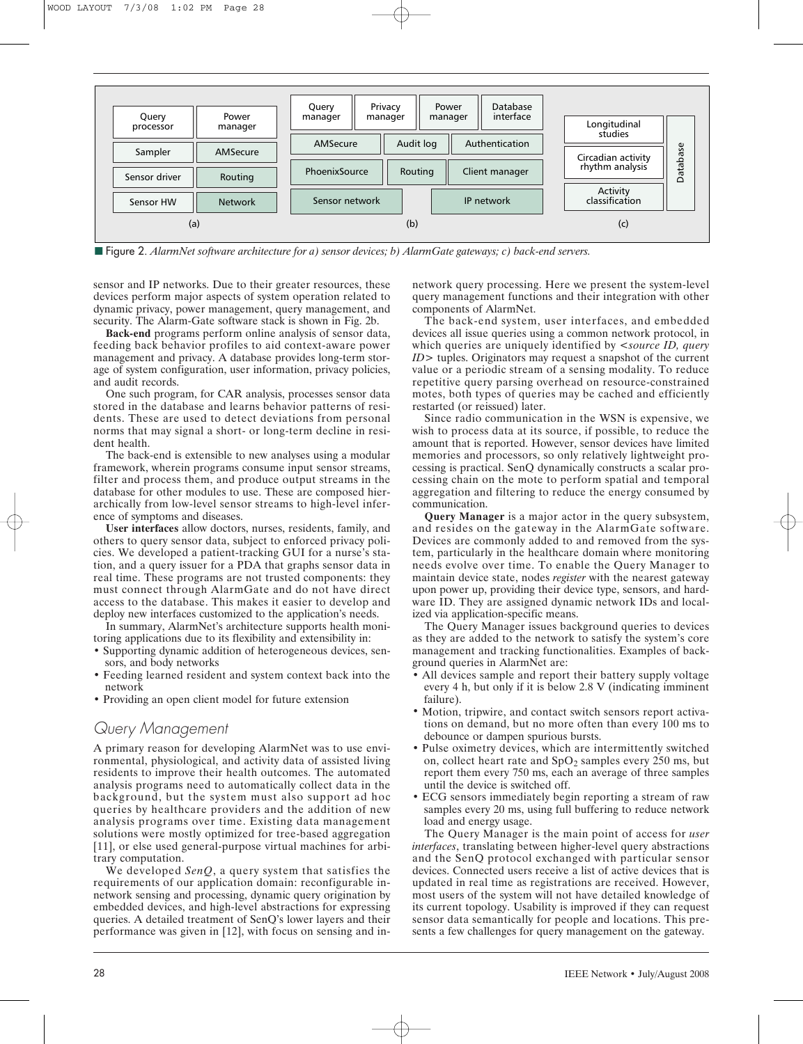

**■** Figure 2. *AlarmNet software architecture for a) sensor devices; b) AlarmGate gateways; c) back-end servers.*

sensor and IP networks. Due to their greater resources, these devices perform major aspects of system operation related to dynamic privacy, power management, query management, and security. The Alarm-Gate software stack is shown in Fig. 2b.

**Back-end** programs perform online analysis of sensor data, feeding back behavior profiles to aid context-aware power management and privacy. A database provides long-term storage of system configuration, user information, privacy policies, and audit records.

One such program, for CAR analysis, processes sensor data stored in the database and learns behavior patterns of residents. These are used to detect deviations from personal norms that may signal a short- or long-term decline in resident health.

The back-end is extensible to new analyses using a modular framework, wherein programs consume input sensor streams, filter and process them, and produce output streams in the database for other modules to use. These are composed hierarchically from low-level sensor streams to high-level inference of symptoms and diseases.

**User interfaces** allow doctors, nurses, residents, family, and others to query sensor data, subject to enforced privacy policies. We developed a patient-tracking GUI for a nurse's station, and a query issuer for a PDA that graphs sensor data in real time. These programs are not trusted components: they must connect through AlarmGate and do not have direct access to the database. This makes it easier to develop and deploy new interfaces customized to the application's needs.

In summary, AlarmNet's architecture supports health monitoring applications due to its flexibility and extensibility in:

- Supporting dynamic addition of heterogeneous devices, sensors, and body networks
- Feeding learned resident and system context back into the network
- Providing an open client model for future extension

#### Query Management

A primary reason for developing AlarmNet was to use environmental, physiological, and activity data of assisted living residents to improve their health outcomes. The automated analysis programs need to automatically collect data in the background, but the system must also support ad hoc queries by healthcare providers and the addition of new analysis programs over time. Existing data management solutions were mostly optimized for tree-based aggregation [11], or else used general-purpose virtual machines for arbitrary computation.

We developed *SenQ*, a query system that satisfies the requirements of our application domain: reconfigurable innetwork sensing and processing, dynamic query origination by embedded devices, and high-level abstractions for expressing queries. A detailed treatment of SenQ's lower layers and their performance was given in [12], with focus on sensing and in-

network query processing. Here we present the system-level query management functions and their integration with other components of AlarmNet.

The back-end system, user interfaces, and embedded devices all issue queries using a common network protocol, in which queries are uniquely identified by <*source ID, query ID* > tuples. Originators may request a snapshot of the current value or a periodic stream of a sensing modality. To reduce repetitive query parsing overhead on resource-constrained motes, both types of queries may be cached and efficiently restarted (or reissued) later.

Since radio communication in the WSN is expensive, we wish to process data at its source, if possible, to reduce the amount that is reported. However, sensor devices have limited memories and processors, so only relatively lightweight processing is practical. SenQ dynamically constructs a scalar processing chain on the mote to perform spatial and temporal aggregation and filtering to reduce the energy consumed by communication.

**Query Manager** is a major actor in the query subsystem, and resides on the gateway in the AlarmGate software. Devices are commonly added to and removed from the system, particularly in the healthcare domain where monitoring needs evolve over time. To enable the Query Manager to maintain device state, nodes *register* with the nearest gateway upon power up, providing their device type, sensors, and hardware ID. They are assigned dynamic network IDs and localized via application-specific means.

The Query Manager issues background queries to devices as they are added to the network to satisfy the system's core management and tracking functionalities. Examples of background queries in AlarmNet are:

- All devices sample and report their battery supply voltage every 4 h, but only if it is below 2.8 V (indicating imminent failure).
- Motion, tripwire, and contact switch sensors report activations on demand, but no more often than every 100 ms to debounce or dampen spurious bursts.
- Pulse oximetry devices, which are intermittently switched on, collect heart rate and  $SpO<sub>2</sub>$  samples every 250 ms, but report them every 750 ms, each an average of three samples until the device is switched off.
- ECG sensors immediately begin reporting a stream of raw samples every 20 ms, using full buffering to reduce network load and energy usage.

The Query Manager is the main point of access for *user interfaces*, translating between higher-level query abstractions and the SenQ protocol exchanged with particular sensor devices. Connected users receive a list of active devices that is updated in real time as registrations are received. However, most users of the system will not have detailed knowledge of its current topology. Usability is improved if they can request sensor data semantically for people and locations. This presents a few challenges for query management on the gateway.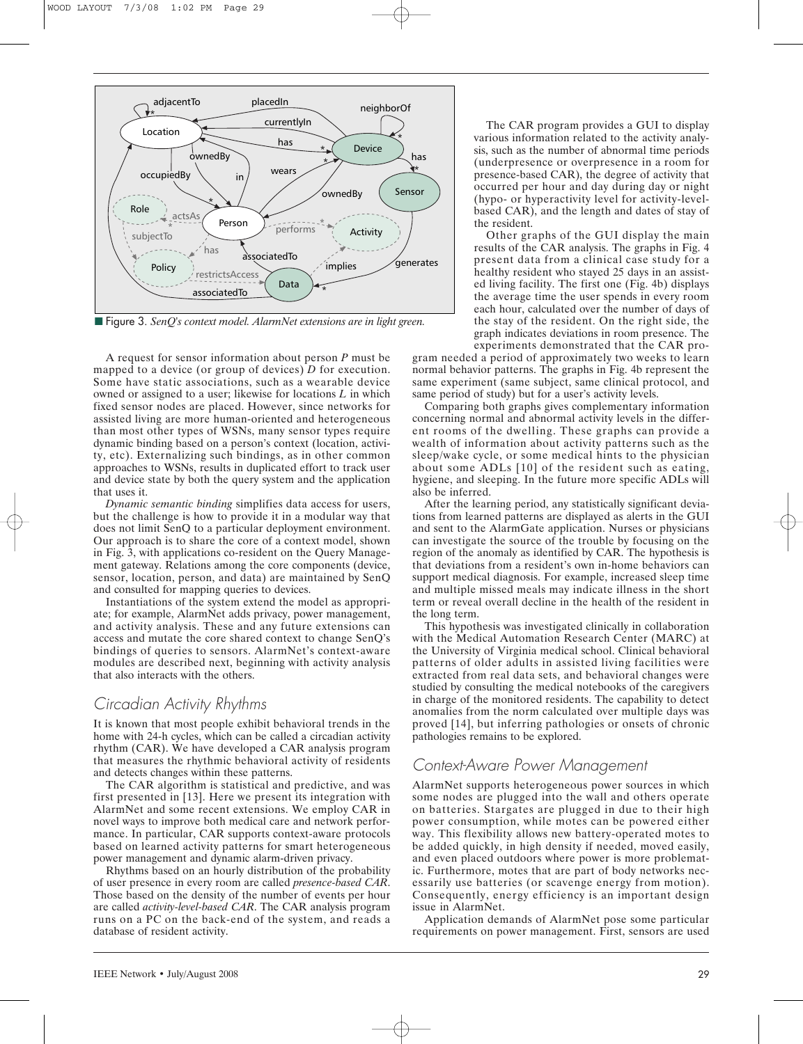

■ Figure 3. *SenQ's context model. AlarmNet extensions are in light green.* 

A request for sensor information about person *P* must be mapped to a device (or group of devices) *D* for execution. Some have static associations, such as a wearable device owned or assigned to a user; likewise for locations *L* in which fixed sensor nodes are placed. However, since networks for assisted living are more human-oriented and heterogeneous than most other types of WSNs, many sensor types require dynamic binding based on a person's context (location, activity, etc). Externalizing such bindings, as in other common approaches to WSNs, results in duplicated effort to track user and device state by both the query system and the application that uses it.

*Dynamic semantic binding* simplifies data access for users, but the challenge is how to provide it in a modular way that does not limit SenQ to a particular deployment environment. Our approach is to share the core of a context model, shown in Fig. 3, with applications co-resident on the Query Management gateway. Relations among the core components (device, sensor, location, person, and data) are maintained by SenQ and consulted for mapping queries to devices.

Instantiations of the system extend the model as appropriate; for example, AlarmNet adds privacy, power management, and activity analysis. These and any future extensions can access and mutate the core shared context to change SenQ's bindings of queries to sensors. AlarmNet's context-aware modules are described next, beginning with activity analysis that also interacts with the others.

## Circadian Activity Rhythms

It is known that most people exhibit behavioral trends in the home with 24-h cycles, which can be called a circadian activity rhythm (CAR). We have developed a CAR analysis program that measures the rhythmic behavioral activity of residents and detects changes within these patterns.

The CAR algorithm is statistical and predictive, and was first presented in [13]. Here we present its integration with AlarmNet and some recent extensions. We employ CAR in novel ways to improve both medical care and network performance. In particular, CAR supports context-aware protocols based on learned activity patterns for smart heterogeneous power management and dynamic alarm-driven privacy.

Rhythms based on an hourly distribution of the probability of user presence in every room are called *presence-based CAR*. Those based on the density of the number of events per hour are called *activity-level-based CAR*. The CAR analysis program runs on a PC on the back-end of the system, and reads a database of resident activity.

The CAR program provides a GUI to display various information related to the activity analysis, such as the number of abnormal time periods (underpresence or overpresence in a room for presence-based CAR), the degree of activity that occurred per hour and day during day or night (hypo- or hyperactivity level for activity-levelbased CAR), and the length and dates of stay of the resident.

Other graphs of the GUI display the main results of the CAR analysis. The graphs in Fig. 4 present data from a clinical case study for a healthy resident who stayed 25 days in an assisted living facility. The first one (Fig. 4b) displays the average time the user spends in every room each hour, calculated over the number of days of the stay of the resident. On the right side, the graph indicates deviations in room presence. The experiments demonstrated that the CAR pro-

gram needed a period of approximately two weeks to learn normal behavior patterns. The graphs in Fig. 4b represent the same experiment (same subject, same clinical protocol, and same period of study) but for a user's activity levels.

Comparing both graphs gives complementary information concerning normal and abnormal activity levels in the different rooms of the dwelling. These graphs can provide a wealth of information about activity patterns such as the sleep/wake cycle, or some medical hints to the physician about some ADLs [10] of the resident such as eating, hygiene, and sleeping. In the future more specific ADLs will also be inferred.

After the learning period, any statistically significant deviations from learned patterns are displayed as alerts in the GUI and sent to the AlarmGate application. Nurses or physicians can investigate the source of the trouble by focusing on the region of the anomaly as identified by CAR. The hypothesis is that deviations from a resident's own in-home behaviors can support medical diagnosis. For example, increased sleep time and multiple missed meals may indicate illness in the short term or reveal overall decline in the health of the resident in the long term.

This hypothesis was investigated clinically in collaboration with the Medical Automation Research Center (MARC) at the University of Virginia medical school. Clinical behavioral patterns of older adults in assisted living facilities were extracted from real data sets, and behavioral changes were studied by consulting the medical notebooks of the caregivers in charge of the monitored residents. The capability to detect anomalies from the norm calculated over multiple days was proved [14], but inferring pathologies or onsets of chronic pathologies remains to be explored.

# Context-Aware Power Management

AlarmNet supports heterogeneous power sources in which some nodes are plugged into the wall and others operate on batteries. Stargates are plugged in due to their high power consumption, while motes can be powered either way. This flexibility allows new battery-operated motes to be added quickly, in high density if needed, moved easily, and even placed outdoors where power is more problematic. Furthermore, motes that are part of body networks necessarily use batteries (or scavenge energy from motion). Consequently, energy efficiency is an important design issue in AlarmNet.

Application demands of AlarmNet pose some particular requirements on power management. First, sensors are used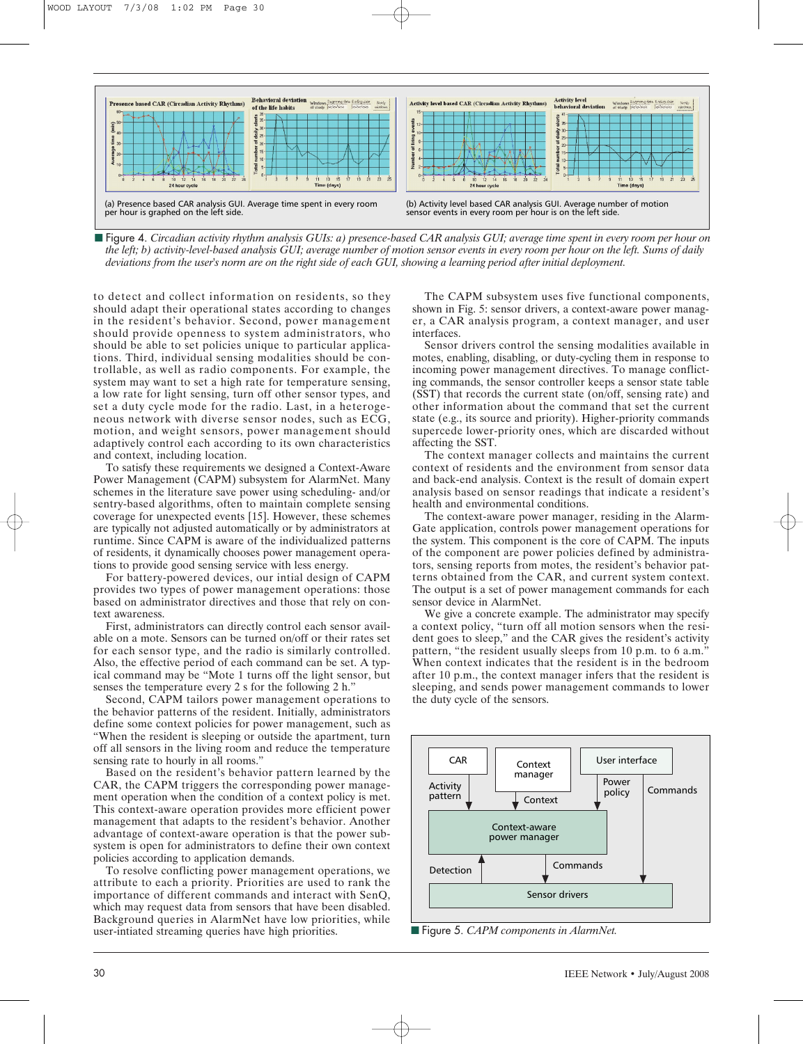

**■** Figure 4. *Circadian activity rhythm analysis GUIs: a) presence-based CAR analysis GUI; average time spent in every room per hour on the left; b) activity-level-based analysis GUI; average number of motion sensor events in every room per hour on the left. Sums of daily deviations from the user's norm are on the right side of each GUI, showing a learning period after initial deployment.*

to detect and collect information on residents, so they should adapt their operational states according to changes in the resident's behavior. Second, power management should provide openness to system administrators, who should be able to set policies unique to particular applications. Third, individual sensing modalities should be controllable, as well as radio components. For example, the system may want to set a high rate for temperature sensing, a low rate for light sensing, turn off other sensor types, and set a duty cycle mode for the radio. Last, in a heterogeneous network with diverse sensor nodes, such as ECG, motion, and weight sensors, power management should adaptively control each according to its own characteristics and context, including location.

To satisfy these requirements we designed a Context-Aware Power Management (CAPM) subsystem for AlarmNet. Many schemes in the literature save power using scheduling- and/or sentry-based algorithms, often to maintain complete sensing coverage for unexpected events [15]. However, these schemes are typically not adjusted automatically or by administrators at runtime. Since CAPM is aware of the individualized patterns of residents, it dynamically chooses power management operations to provide good sensing service with less energy.

For battery-powered devices, our intial design of CAPM provides two types of power management operations: those based on administrator directives and those that rely on context awareness.

First, administrators can directly control each sensor available on a mote. Sensors can be turned on/off or their rates set for each sensor type, and the radio is similarly controlled. Also, the effective period of each command can be set. A typical command may be "Mote 1 turns off the light sensor, but senses the temperature every 2 s for the following 2 h."

Second, CAPM tailors power management operations to the behavior patterns of the resident. Initially, administrators define some context policies for power management, such as "When the resident is sleeping or outside the apartment, turn off all sensors in the living room and reduce the temperature sensing rate to hourly in all rooms."

Based on the resident's behavior pattern learned by the CAR, the CAPM triggers the corresponding power management operation when the condition of a context policy is met. This context-aware operation provides more efficient power management that adapts to the resident's behavior. Another advantage of context-aware operation is that the power subsystem is open for administrators to define their own context policies according to application demands.

To resolve conflicting power management operations, we attribute to each a priority. Priorities are used to rank the importance of different commands and interact with SenQ, which may request data from sensors that have been disabled. Background queries in AlarmNet have low priorities, while user-intiated streaming queries have high priorities.

The CAPM subsystem uses five functional components, shown in Fig. 5: sensor drivers, a context-aware power manager, a CAR analysis program, a context manager, and user interfaces.

Sensor drivers control the sensing modalities available in motes, enabling, disabling, or duty-cycling them in response to incoming power management directives. To manage conflicting commands, the sensor controller keeps a sensor state table (SST) that records the current state (on/off, sensing rate) and other information about the command that set the current state (e.g., its source and priority). Higher-priority commands supercede lower-priority ones, which are discarded without affecting the SST.

The context manager collects and maintains the current context of residents and the environment from sensor data and back-end analysis. Context is the result of domain expert analysis based on sensor readings that indicate a resident's health and environmental conditions.

The context-aware power manager, residing in the Alarm-Gate application, controls power management operations for the system. This component is the core of CAPM. The inputs of the component are power policies defined by administrators, sensing reports from motes, the resident's behavior patterns obtained from the CAR, and current system context. The output is a set of power management commands for each sensor device in AlarmNet.

We give a concrete example. The administrator may specify a context policy, "turn off all motion sensors when the resident goes to sleep," and the CAR gives the resident's activity pattern, "the resident usually sleeps from 10 p.m. to 6 a.m." When context indicates that the resident is in the bedroom after 10 p.m., the context manager infers that the resident is sleeping, and sends power management commands to lower the duty cycle of the sensors.



**■** Figure 5. *CAPM components in AlarmNet.*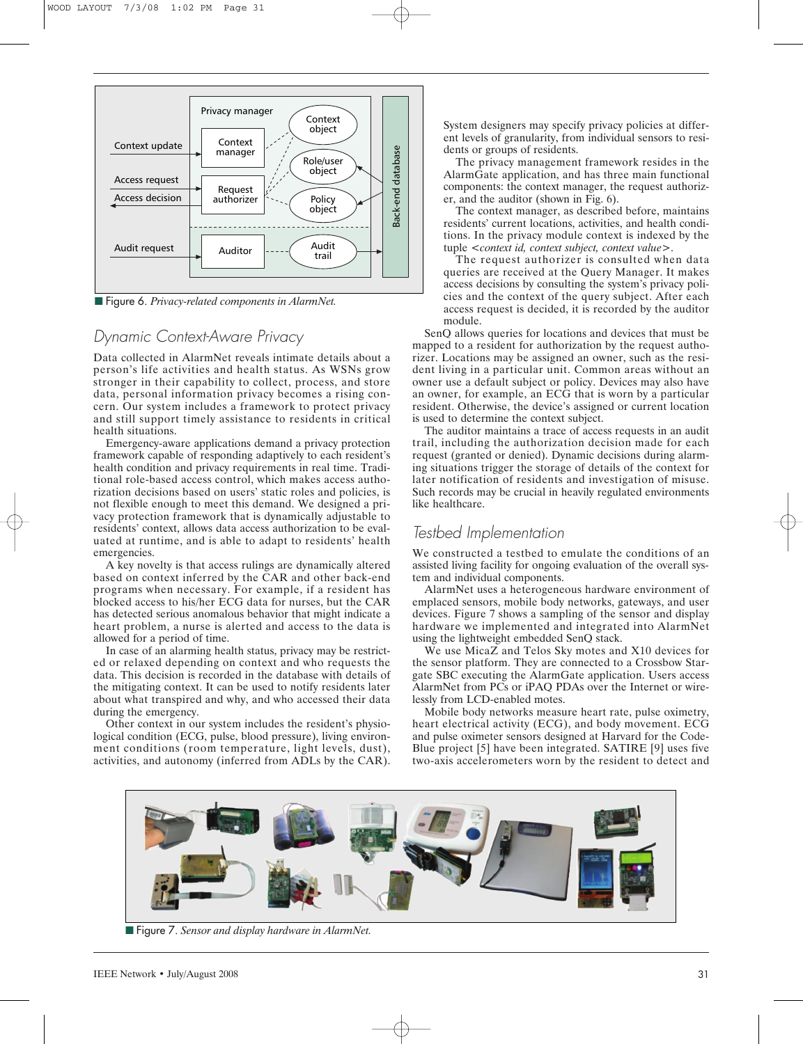

**■** Figure 6. *Privacy-related components in AlarmNet.*

# Dynamic Context-Aware Privacy

Data collected in AlarmNet reveals intimate details about a person's life activities and health status. As WSNs grow stronger in their capability to collect, process, and store data, personal information privacy becomes a rising concern. Our system includes a framework to protect privacy and still support timely assistance to residents in critical health situations.

Emergency-aware applications demand a privacy protection framework capable of responding adaptively to each resident's health condition and privacy requirements in real time. Traditional role-based access control, which makes access authorization decisions based on users' static roles and policies, is not flexible enough to meet this demand. We designed a privacy protection framework that is dynamically adjustable to residents' context, allows data access authorization to be evaluated at runtime, and is able to adapt to residents' health emergencies.

A key novelty is that access rulings are dynamically altered based on context inferred by the CAR and other back-end programs when necessary. For example, if a resident has blocked access to his/her ECG data for nurses, but the CAR has detected serious anomalous behavior that might indicate a heart problem, a nurse is alerted and access to the data is allowed for a period of time.

In case of an alarming health status, privacy may be restricted or relaxed depending on context and who requests the data. This decision is recorded in the database with details of the mitigating context. It can be used to notify residents later about what transpired and why, and who accessed their data during the emergency.

Other context in our system includes the resident's physiological condition (ECG, pulse, blood pressure), living environment conditions (room temperature, light levels, dust), activities, and autonomy (inferred from ADLs by the CAR). System designers may specify privacy policies at different levels of granularity, from individual sensors to residents or groups of residents.

The privacy management framework resides in the AlarmGate application, and has three main functional components: the context manager, the request authorizer, and the auditor (shown in Fig. 6).

The context manager, as described before, maintains residents' current locations, activities, and health conditions. In the privacy module context is indexed by the tuple <*context id, context subject, context value*>.

The request authorizer is consulted when data queries are received at the Query Manager. It makes access decisions by consulting the system's privacy policies and the context of the query subject. After each access request is decided, it is recorded by the auditor module.

SenQ allows queries for locations and devices that must be mapped to a resident for authorization by the request authorizer. Locations may be assigned an owner, such as the resident living in a particular unit. Common areas without an owner use a default subject or policy. Devices may also have an owner, for example, an ECG that is worn by a particular resident. Otherwise, the device's assigned or current location is used to determine the context subject.

The auditor maintains a trace of access requests in an audit trail, including the authorization decision made for each request (granted or denied). Dynamic decisions during alarming situations trigger the storage of details of the context for later notification of residents and investigation of misuse. Such records may be crucial in heavily regulated environments like healthcare.

## Testbed Implementation

We constructed a testbed to emulate the conditions of an assisted living facility for ongoing evaluation of the overall system and individual components.

AlarmNet uses a heterogeneous hardware environment of emplaced sensors, mobile body networks, gateways, and user devices. Figure 7 shows a sampling of the sensor and display hardware we implemented and integrated into AlarmNet using the lightweight embedded SenQ stack.

We use MicaZ and Telos Sky motes and X10 devices for the sensor platform. They are connected to a Crossbow Stargate SBC executing the AlarmGate application. Users access AlarmNet from PCs or iPAQ PDAs over the Internet or wirelessly from LCD-enabled motes.

Mobile body networks measure heart rate, pulse oximetry, heart electrical activity (ECG), and body movement. ECG and pulse oximeter sensors designed at Harvard for the Code-Blue project [5] have been integrated. SATIRE [9] uses five two-axis accelerometers worn by the resident to detect and



**■** Figure 7. *Sensor and display hardware in AlarmNet.*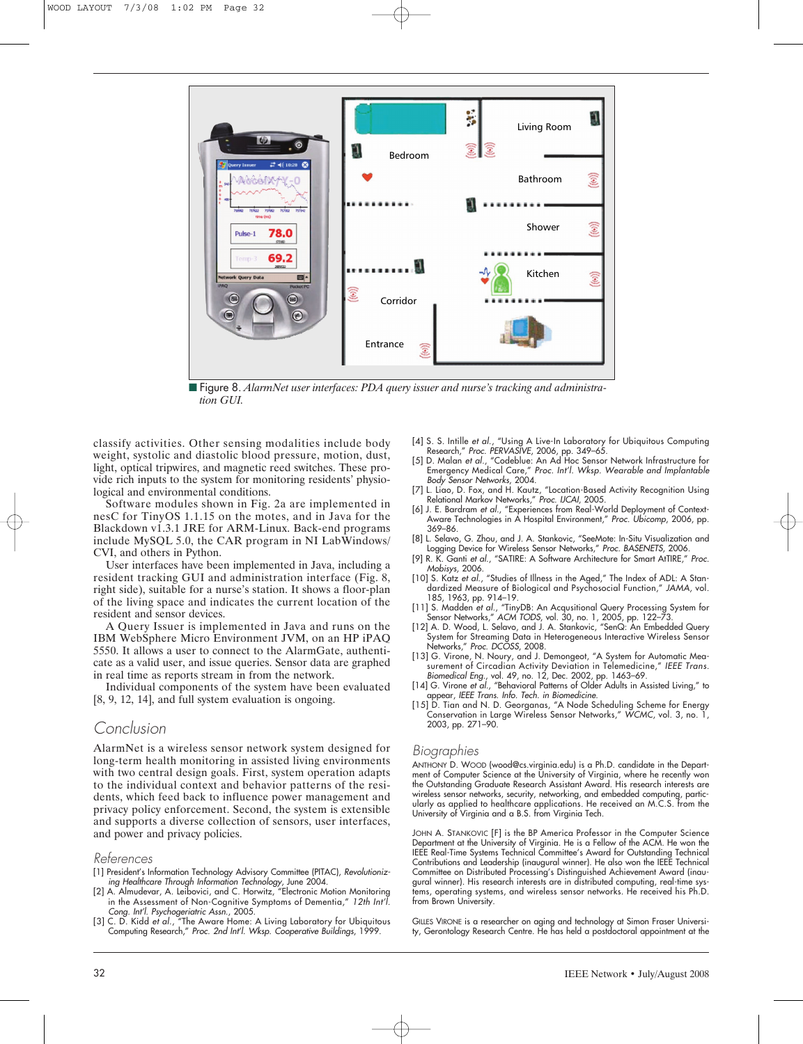

■ **Figure 8.** *AlarmNet user interfaces: PDA query issuer and nurse's tracking and administration GUI.*

classify activities. Other sensing modalities include body weight, systolic and diastolic blood pressure, motion, dust, light, optical tripwires, and magnetic reed switches. These provide rich inputs to the system for monitoring residents' physiological and environmental conditions.

Software modules shown in Fig. 2a are implemented in nesC for TinyOS 1.1.15 on the motes, and in Java for the Blackdown v1.3.1 JRE for ARM-Linux. Back-end programs include MySQL 5.0, the CAR program in NI LabWindows/ CVI, and others in Python.

User interfaces have been implemented in Java, including a resident tracking GUI and administration interface (Fig. 8, right side), suitable for a nurse's station. It shows a floor-plan of the living space and indicates the current location of the resident and sensor devices.

A Query Issuer is implemented in Java and runs on the IBM WebSphere Micro Environment JVM, on an HP iPAQ 5550. It allows a user to connect to the AlarmGate, authenticate as a valid user, and issue queries. Sensor data are graphed in real time as reports stream in from the network.

Individual components of the system have been evaluated [8, 9, 12, 14], and full system evaluation is ongoing.

#### Conclusion

AlarmNet is a wireless sensor network system designed for long-term health monitoring in assisted living environments with two central design goals. First, system operation adapts to the individual context and behavior patterns of the residents, which feed back to influence power management and privacy policy enforcement. Second, the system is extensible and supports a diverse collection of sensors, user interfaces, and power and privacy policies.

#### References

- [1] President's Information Technology Advisory Committee (PITAC), Revolutionizing Healthcare Through Information Technology, June 2004.
- [2] A. Almudevar, A. Leibovici, and C. Horwitz, "Electronic Motion Monitoring in the Assessment of Non-Cognitive Symptoms of Dementia," 12th Int'l. Cong. Int'l. Psychogeriatric Assn., 2005.
- [3] C. D. Kidd et al., "The Aware Home: A Living Laboratory for Ubiquitous Computing Research," Proc. 2nd Int'l. Wksp. Cooperative Buildings, 1999.
- [4] S. S. Intille et al., "Using A Live-In Laboratory for Ubiquitous Computing Research," Proc. PERVASIVE, 2006, pp. 349–65.
- [5] D. Malan et al., "Codeblue: An Ad Hoc Sensor Network Infrastructure for Emergency Medical Care," Proc. Int'l. Wksp. Wearable and Implantable Body Sensor Networks, 2004.
- [7] L. Liao, D. Fox, and H. Kautz, "Location-Based Activity Recognition Using Relational Markov Networks," Proc. IJCAI, 2005.
- [6] J. E. Bardram et al., "Experiences from Real-World Deployment of Context-Aware Technologies in A Hospital Environment," Proc. Ubicomp, 2006, pp. 369–86.
- [8] L. Selavo, G. Zhou, and J. A. Stankovic, "SeeMote: In-Situ Visualization and Logging Device for Wireless Sensor Networks," Proc. BASENETS, 2006.
- [9] R. K. Ganti et al., "SATIRE: A Software Architecture for Smart AtTIRE," Proc. Mobisys, 2006.
- [10] S. Katz et al., "Studies of Illness in the Aged," The Index of ADL: A Standardized Measure of Biological and Psychosocial Function," JAMA, vol. 185, 1963, pp. 914–19.
- [11] S. Madden et al., "TinyDB: An Acqusitional Query Processing System for Sensor Networks," ACM TODS, vol. 30, no. 1, 2005, pp. 122–73.
- [12] A. D. Wood, L. Selavo, and J. A. Stankovic, "SenQ: An Embedded Query System for Streaming Data in Heterogeneous Interactive Wireless Sensor Networks," Proc. DCOSS, 2008.
- [13] G. Virone, N. Noury, and J. Demongeot, "A System for Automatic Measurement of Circadian Activity Deviation in Telemedicine," IEEE Trans. Biomedical Eng., vol. 49, no. 12, Dec. 2002, pp. 1463–69.
- [14] G. Virone et al., "Behavioral Patterns of Older Adults in Assisted Living," to appear, IEEE Trans. Info. Tech. in Biomedicine.
- [15] D. Tian and N. D. Georganas, "A Node Scheduling Scheme for Energy Conservation in Large Wireless Sensor Networks," WCMC, vol. 3, no. 1, 2003, pp. 271–90.

#### Biographies

ANTHONY D. WOOD (wood@cs.virginia.edu) is a Ph.D. candidate in the Department of Computer Science at the University of Virginia, where he recently won the Outstanding Graduate Research Assistant Award. His research interests are wireless sensor networks, security, networking, and embedded computing, particularly as applied to healthcare applications. He received an M.C.S. from the University of Virginia and a B.S. from Virginia Tech.

JOHN A. STANKOVIC [F] is the BP America Professor in the Computer Science Department at the University of Virginia. He is a Fellow of the ACM. He won the IEEE Real-Time Systems Technical Committee's Award for Outstanding Technical Contributions and Leadership (inaugural winner). He also won the IEEE Technical Committee on Distributed Processing's Distinguished Achievement Award (inaugural winner). His research interests are in distributed computing, real-time systems, operating systems, and wireless sensor networks. He received his Ph.D. from Brown University.

GILLES VIRONE is a researcher on aging and technology at Simon Fraser University, Gerontology Research Centre. He has held a postdoctoral appointment at the